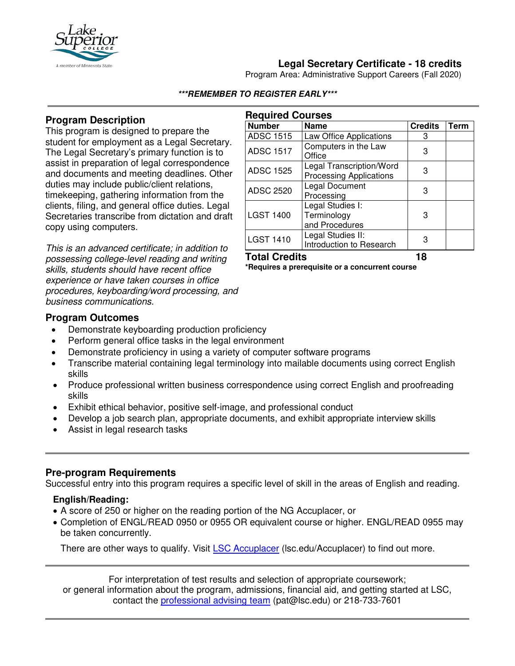

# **Legal Secretary Certificate - 18 credits**

Program Area: Administrative Support Careers (Fall 2020)

#### **\*\*\*REMEMBER TO REGISTER EARLY\*\*\***

**Required Courses**

### **Program Description**

This program is designed to prepare the student for employment as a Legal Secretary. The Legal Secretary's primary function is to assist in preparation of legal correspondence and documents and meeting deadlines. Other duties may include public/client relations, timekeeping, gathering information from the clients, filing, and general office duties. Legal Secretaries transcribe from dictation and draft copy using computers.

*This is an advanced certificate; in addition to possessing college-level reading and writing skills, students should have recent office experience or have taken courses in office procedures, keyboarding/word processing, and business communications.*

| <b>Number</b>    | <b>Name</b>                                                | <b>Credits</b> | Term |
|------------------|------------------------------------------------------------|----------------|------|
| <b>ADSC 1515</b> | Law Office Applications                                    | 3              |      |
| <b>ADSC 1517</b> | Computers in the Law<br>Office                             | 3              |      |
| <b>ADSC 1525</b> | Legal Transcription/Word<br><b>Processing Applications</b> | 3              |      |
| <b>ADSC 2520</b> | Legal Document<br>Processing                               | 3              |      |
| <b>LGST 1400</b> | Legal Studies I:<br>Terminology<br>and Procedures          | 3              |      |
| <b>LGST 1410</b> | Legal Studies II:<br>Introduction to Research              | 3              |      |

#### **Total Credits 18 \*Requires a prerequisite or a concurrent course**

#### **Program Outcomes**

- Demonstrate keyboarding production proficiency
- Perform general office tasks in the legal environment
- Demonstrate proficiency in using a variety of computer software programs
- Transcribe material containing legal terminology into mailable documents using correct English skills
- Produce professional written business correspondence using correct English and proofreading skills
- Exhibit ethical behavior, positive self-image, and professional conduct
- Develop a job search plan, appropriate documents, and exhibit appropriate interview skills
- Assist in legal research tasks

### **Pre-program Requirements**

Successful entry into this program requires a specific level of skill in the areas of English and reading.

#### **English/Reading:**

- A score of 250 or higher on the reading portion of the NG Accuplacer, or
- Completion of ENGL/READ 0950 or 0955 OR equivalent course or higher. ENGL/READ 0955 may be taken concurrently.

There are other ways to qualify. Visit [LSC Accuplacer](https://www.lsc.edu/accuplacer/) (lsc.edu/Accuplacer) to find out more.

For interpretation of test results and selection of appropriate coursework; or general information about the program, admissions, financial aid, and getting started at LSC, contact the [professional advising team](mailto:pat@lsc.edu) (pat@lsc.edu) or 218-733-7601